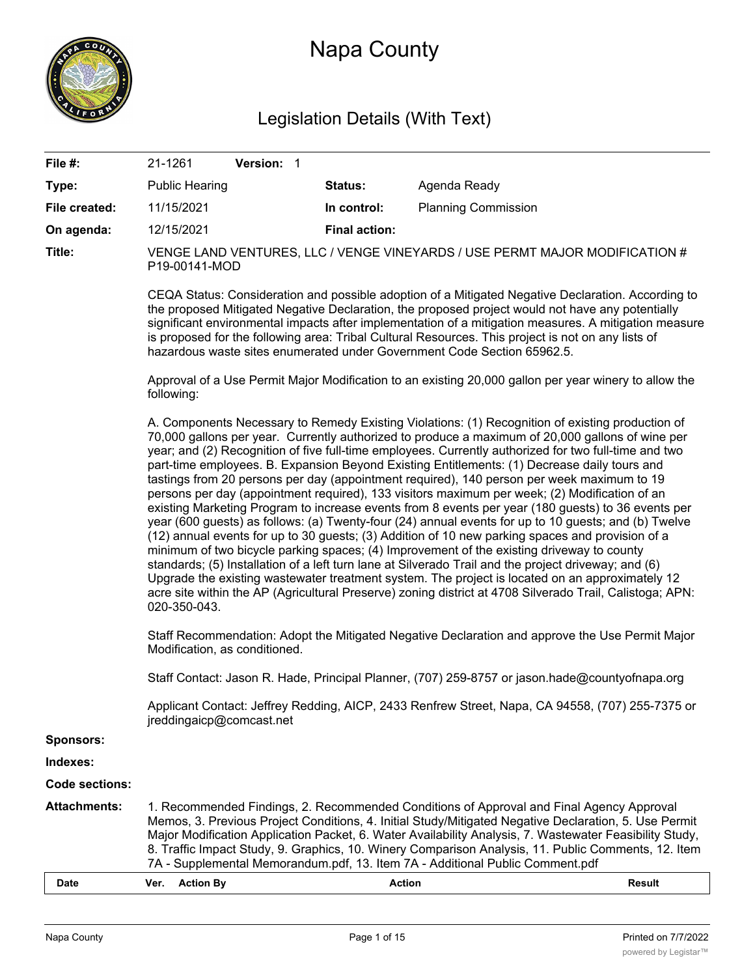

# Napa County

# Legislation Details (With Text)

| File #:               | 21-1261                                                                                                                                                                                                                                                                                                                                                                                                                                                                                                                                                                                                                                                                                                                                                                                                                                                                                                                                                                                                                                                                                                                                                                                                                                                                                                                                                                                                                                                               | Version: 1 |                      |                                                                                                  |               |  |
|-----------------------|-----------------------------------------------------------------------------------------------------------------------------------------------------------------------------------------------------------------------------------------------------------------------------------------------------------------------------------------------------------------------------------------------------------------------------------------------------------------------------------------------------------------------------------------------------------------------------------------------------------------------------------------------------------------------------------------------------------------------------------------------------------------------------------------------------------------------------------------------------------------------------------------------------------------------------------------------------------------------------------------------------------------------------------------------------------------------------------------------------------------------------------------------------------------------------------------------------------------------------------------------------------------------------------------------------------------------------------------------------------------------------------------------------------------------------------------------------------------------|------------|----------------------|--------------------------------------------------------------------------------------------------|---------------|--|
| Type:                 | <b>Public Hearing</b>                                                                                                                                                                                                                                                                                                                                                                                                                                                                                                                                                                                                                                                                                                                                                                                                                                                                                                                                                                                                                                                                                                                                                                                                                                                                                                                                                                                                                                                 |            | <b>Status:</b>       | Agenda Ready                                                                                     |               |  |
| File created:         | 11/15/2021                                                                                                                                                                                                                                                                                                                                                                                                                                                                                                                                                                                                                                                                                                                                                                                                                                                                                                                                                                                                                                                                                                                                                                                                                                                                                                                                                                                                                                                            |            | In control:          | <b>Planning Commission</b>                                                                       |               |  |
| On agenda:            | 12/15/2021                                                                                                                                                                                                                                                                                                                                                                                                                                                                                                                                                                                                                                                                                                                                                                                                                                                                                                                                                                                                                                                                                                                                                                                                                                                                                                                                                                                                                                                            |            | <b>Final action:</b> |                                                                                                  |               |  |
| Title:                | VENGE LAND VENTURES, LLC / VENGE VINEYARDS / USE PERMT MAJOR MODIFICATION #<br>P19-00141-MOD                                                                                                                                                                                                                                                                                                                                                                                                                                                                                                                                                                                                                                                                                                                                                                                                                                                                                                                                                                                                                                                                                                                                                                                                                                                                                                                                                                          |            |                      |                                                                                                  |               |  |
|                       | CEQA Status: Consideration and possible adoption of a Mitigated Negative Declaration. According to<br>the proposed Mitigated Negative Declaration, the proposed project would not have any potentially<br>significant environmental impacts after implementation of a mitigation measures. A mitigation measure<br>is proposed for the following area: Tribal Cultural Resources. This project is not on any lists of<br>hazardous waste sites enumerated under Government Code Section 65962.5.                                                                                                                                                                                                                                                                                                                                                                                                                                                                                                                                                                                                                                                                                                                                                                                                                                                                                                                                                                      |            |                      |                                                                                                  |               |  |
|                       | Approval of a Use Permit Major Modification to an existing 20,000 gallon per year winery to allow the<br>following:                                                                                                                                                                                                                                                                                                                                                                                                                                                                                                                                                                                                                                                                                                                                                                                                                                                                                                                                                                                                                                                                                                                                                                                                                                                                                                                                                   |            |                      |                                                                                                  |               |  |
|                       | A. Components Necessary to Remedy Existing Violations: (1) Recognition of existing production of<br>70,000 gallons per year. Currently authorized to produce a maximum of 20,000 gallons of wine per<br>year; and (2) Recognition of five full-time employees. Currently authorized for two full-time and two<br>part-time employees. B. Expansion Beyond Existing Entitlements: (1) Decrease daily tours and<br>tastings from 20 persons per day (appointment required), 140 person per week maximum to 19<br>persons per day (appointment required), 133 visitors maximum per week; (2) Modification of an<br>existing Marketing Program to increase events from 8 events per year (180 guests) to 36 events per<br>year (600 guests) as follows: (a) Twenty-four (24) annual events for up to 10 guests; and (b) Twelve<br>(12) annual events for up to 30 guests; (3) Addition of 10 new parking spaces and provision of a<br>minimum of two bicycle parking spaces; (4) Improvement of the existing driveway to county<br>standards; (5) Installation of a left turn lane at Silverado Trail and the project driveway; and (6)<br>Upgrade the existing wastewater treatment system. The project is located on an approximately 12<br>acre site within the AP (Agricultural Preserve) zoning district at 4708 Silverado Trail, Calistoga; APN:<br>020-350-043.<br>Staff Recommendation: Adopt the Mitigated Negative Declaration and approve the Use Permit Major |            |                      |                                                                                                  |               |  |
|                       | Modification, as conditioned.<br>Staff Contact: Jason R. Hade, Principal Planner, (707) 259-8757 or jason.hade@countyofnapa.org                                                                                                                                                                                                                                                                                                                                                                                                                                                                                                                                                                                                                                                                                                                                                                                                                                                                                                                                                                                                                                                                                                                                                                                                                                                                                                                                       |            |                      |                                                                                                  |               |  |
|                       | jreddingaicp@comcast.net                                                                                                                                                                                                                                                                                                                                                                                                                                                                                                                                                                                                                                                                                                                                                                                                                                                                                                                                                                                                                                                                                                                                                                                                                                                                                                                                                                                                                                              |            |                      | Applicant Contact: Jeffrey Redding, AICP, 2433 Renfrew Street, Napa, CA 94558, (707) 255-7375 or |               |  |
| <b>Sponsors:</b>      |                                                                                                                                                                                                                                                                                                                                                                                                                                                                                                                                                                                                                                                                                                                                                                                                                                                                                                                                                                                                                                                                                                                                                                                                                                                                                                                                                                                                                                                                       |            |                      |                                                                                                  |               |  |
| Indexes:              |                                                                                                                                                                                                                                                                                                                                                                                                                                                                                                                                                                                                                                                                                                                                                                                                                                                                                                                                                                                                                                                                                                                                                                                                                                                                                                                                                                                                                                                                       |            |                      |                                                                                                  |               |  |
| <b>Code sections:</b> |                                                                                                                                                                                                                                                                                                                                                                                                                                                                                                                                                                                                                                                                                                                                                                                                                                                                                                                                                                                                                                                                                                                                                                                                                                                                                                                                                                                                                                                                       |            |                      |                                                                                                  |               |  |
| <b>Attachments:</b>   | 1. Recommended Findings, 2. Recommended Conditions of Approval and Final Agency Approval<br>Memos, 3. Previous Project Conditions, 4. Initial Study/Mitigated Negative Declaration, 5. Use Permit<br>Major Modification Application Packet, 6. Water Availability Analysis, 7. Wastewater Feasibility Study,<br>8. Traffic Impact Study, 9. Graphics, 10. Winery Comparison Analysis, 11. Public Comments, 12. Item<br>7A - Supplemental Memorandum.pdf, 13. Item 7A - Additional Public Comment.pdf                                                                                                                                                                                                                                                                                                                                                                                                                                                                                                                                                                                                                                                                                                                                                                                                                                                                                                                                                                  |            |                      |                                                                                                  |               |  |
| Date                  | <b>Action By</b><br>Ver.                                                                                                                                                                                                                                                                                                                                                                                                                                                                                                                                                                                                                                                                                                                                                                                                                                                                                                                                                                                                                                                                                                                                                                                                                                                                                                                                                                                                                                              |            | <b>Action</b>        |                                                                                                  | <b>Result</b> |  |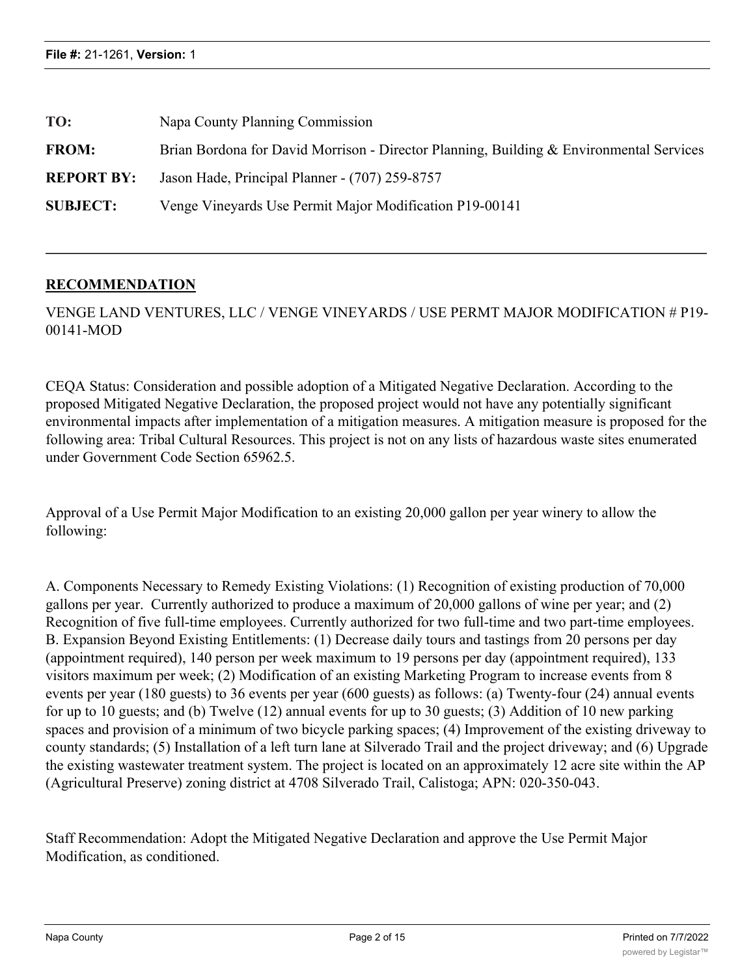| TO:               | Napa County Planning Commission                                                         |  |  |
|-------------------|-----------------------------------------------------------------------------------------|--|--|
| <b>FROM:</b>      | Brian Bordona for David Morrison - Director Planning, Building & Environmental Services |  |  |
| <b>REPORT BY:</b> | Jason Hade, Principal Planner - (707) 259-8757                                          |  |  |
| <b>SUBJECT:</b>   | Venge Vineyards Use Permit Major Modification P19-00141                                 |  |  |

## **RECOMMENDATION**

VENGE LAND VENTURES, LLC / VENGE VINEYARDS / USE PERMT MAJOR MODIFICATION # P19- 00141-MOD

CEQA Status: Consideration and possible adoption of a Mitigated Negative Declaration. According to the proposed Mitigated Negative Declaration, the proposed project would not have any potentially significant environmental impacts after implementation of a mitigation measures. A mitigation measure is proposed for the following area: Tribal Cultural Resources. This project is not on any lists of hazardous waste sites enumerated under Government Code Section 65962.5.

Approval of a Use Permit Major Modification to an existing 20,000 gallon per year winery to allow the following:

A. Components Necessary to Remedy Existing Violations: (1) Recognition of existing production of 70,000 gallons per year. Currently authorized to produce a maximum of 20,000 gallons of wine per year; and (2) Recognition of five full-time employees. Currently authorized for two full-time and two part-time employees. B. Expansion Beyond Existing Entitlements: (1) Decrease daily tours and tastings from 20 persons per day (appointment required), 140 person per week maximum to 19 persons per day (appointment required), 133 visitors maximum per week; (2) Modification of an existing Marketing Program to increase events from 8 events per year (180 guests) to 36 events per year (600 guests) as follows: (a) Twenty-four (24) annual events for up to 10 guests; and (b) Twelve (12) annual events for up to 30 guests; (3) Addition of 10 new parking spaces and provision of a minimum of two bicycle parking spaces; (4) Improvement of the existing driveway to county standards; (5) Installation of a left turn lane at Silverado Trail and the project driveway; and (6) Upgrade the existing wastewater treatment system. The project is located on an approximately 12 acre site within the AP (Agricultural Preserve) zoning district at 4708 Silverado Trail, Calistoga; APN: 020-350-043.

Staff Recommendation: Adopt the Mitigated Negative Declaration and approve the Use Permit Major Modification, as conditioned.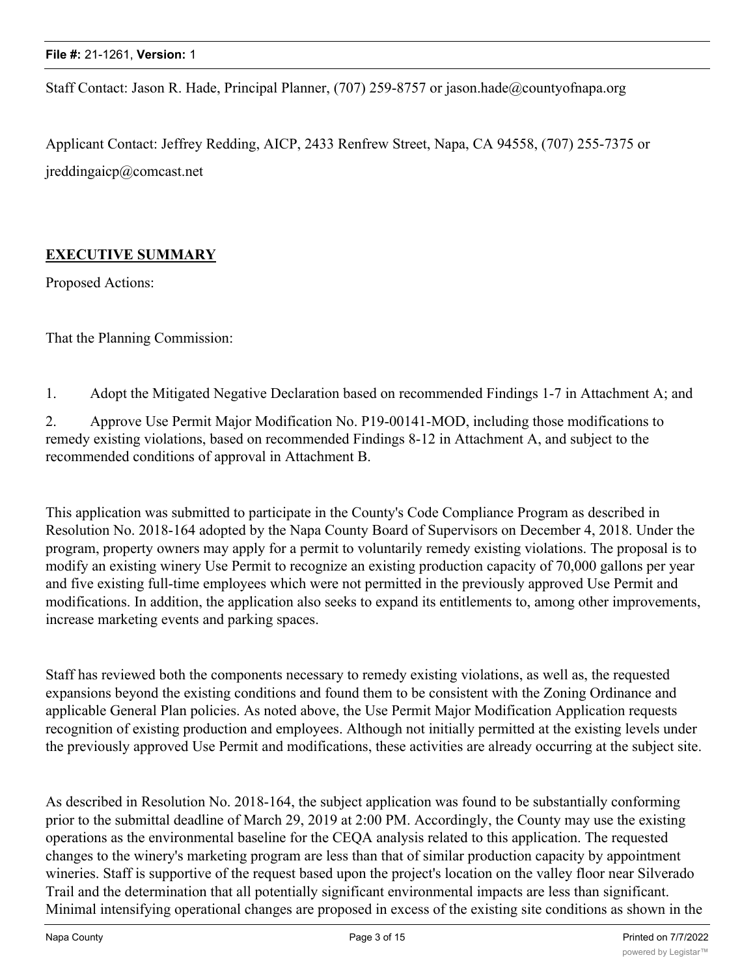Staff Contact: Jason R. Hade, Principal Planner, (707) 259-8757 or jason.hade@countyofnapa.org

Applicant Contact: Jeffrey Redding, AICP, 2433 Renfrew Street, Napa, CA 94558, (707) 255-7375 or jreddingaicp@comcast.net

# **EXECUTIVE SUMMARY**

Proposed Actions:

That the Planning Commission:

1. Adopt the Mitigated Negative Declaration based on recommended Findings 1-7 in Attachment A; and

2. Approve Use Permit Major Modification No. P19-00141-MOD, including those modifications to remedy existing violations, based on recommended Findings 8-12 in Attachment A, and subject to the recommended conditions of approval in Attachment B.

This application was submitted to participate in the County's Code Compliance Program as described in Resolution No. 2018-164 adopted by the Napa County Board of Supervisors on December 4, 2018. Under the program, property owners may apply for a permit to voluntarily remedy existing violations. The proposal is to modify an existing winery Use Permit to recognize an existing production capacity of 70,000 gallons per year and five existing full-time employees which were not permitted in the previously approved Use Permit and modifications. In addition, the application also seeks to expand its entitlements to, among other improvements, increase marketing events and parking spaces.

Staff has reviewed both the components necessary to remedy existing violations, as well as, the requested expansions beyond the existing conditions and found them to be consistent with the Zoning Ordinance and applicable General Plan policies. As noted above, the Use Permit Major Modification Application requests recognition of existing production and employees. Although not initially permitted at the existing levels under the previously approved Use Permit and modifications, these activities are already occurring at the subject site.

As described in Resolution No. 2018-164, the subject application was found to be substantially conforming prior to the submittal deadline of March 29, 2019 at 2:00 PM. Accordingly, the County may use the existing operations as the environmental baseline for the CEQA analysis related to this application. The requested changes to the winery's marketing program are less than that of similar production capacity by appointment wineries. Staff is supportive of the request based upon the project's location on the valley floor near Silverado Trail and the determination that all potentially significant environmental impacts are less than significant. Minimal intensifying operational changes are proposed in excess of the existing site conditions as shown in the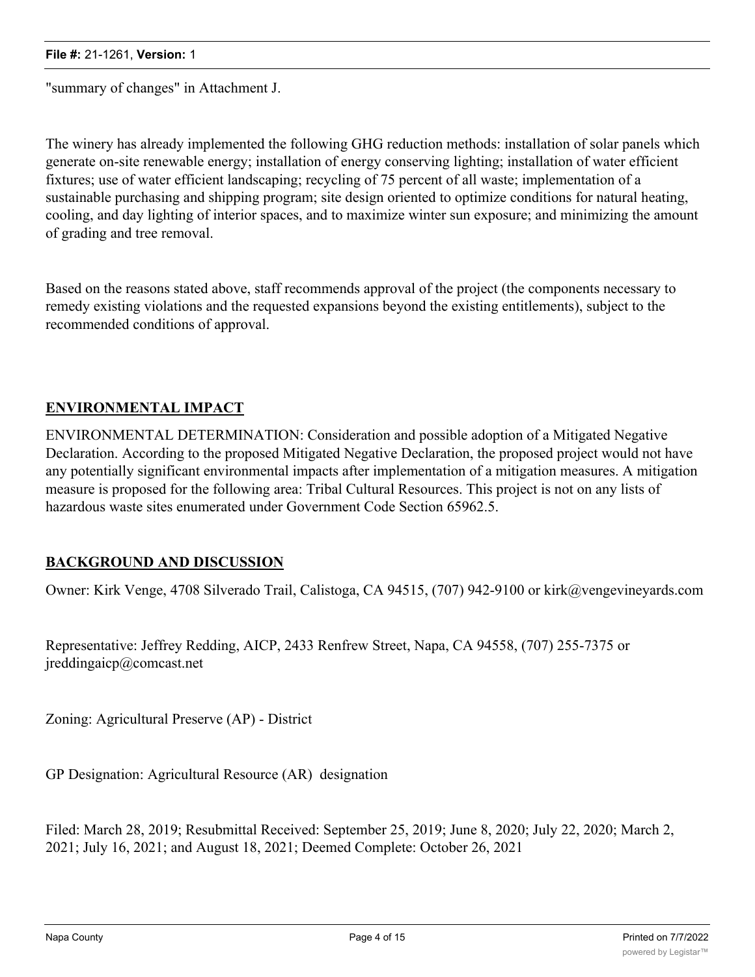"summary of changes" in Attachment J.

The winery has already implemented the following GHG reduction methods: installation of solar panels which generate on-site renewable energy; installation of energy conserving lighting; installation of water efficient fixtures; use of water efficient landscaping; recycling of 75 percent of all waste; implementation of a sustainable purchasing and shipping program; site design oriented to optimize conditions for natural heating, cooling, and day lighting of interior spaces, and to maximize winter sun exposure; and minimizing the amount of grading and tree removal.

Based on the reasons stated above, staff recommends approval of the project (the components necessary to remedy existing violations and the requested expansions beyond the existing entitlements), subject to the recommended conditions of approval.

# **ENVIRONMENTAL IMPACT**

ENVIRONMENTAL DETERMINATION: Consideration and possible adoption of a Mitigated Negative Declaration. According to the proposed Mitigated Negative Declaration, the proposed project would not have any potentially significant environmental impacts after implementation of a mitigation measures. A mitigation measure is proposed for the following area: Tribal Cultural Resources. This project is not on any lists of hazardous waste sites enumerated under Government Code Section 65962.5.

# **BACKGROUND AND DISCUSSION**

Owner: Kirk Venge, 4708 Silverado Trail, Calistoga, CA 94515, (707) 942-9100 or kirk@vengevineyards.com

Representative: Jeffrey Redding, AICP, 2433 Renfrew Street, Napa, CA 94558, (707) 255-7375 or jreddingaicp@comcast.net

Zoning: Agricultural Preserve (AP) - District

GP Designation: Agricultural Resource (AR) designation

Filed: March 28, 2019; Resubmittal Received: September 25, 2019; June 8, 2020; July 22, 2020; March 2, 2021; July 16, 2021; and August 18, 2021; Deemed Complete: October 26, 2021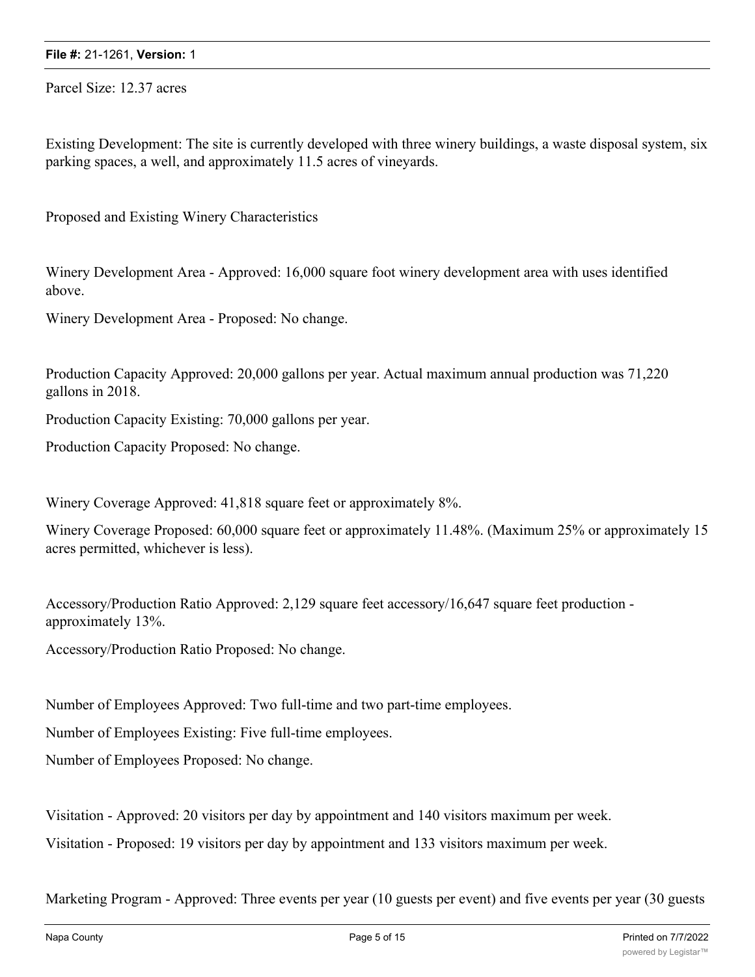Parcel Size: 12.37 acres

Existing Development: The site is currently developed with three winery buildings, a waste disposal system, six parking spaces, a well, and approximately 11.5 acres of vineyards.

Proposed and Existing Winery Characteristics

Winery Development Area - Approved: 16,000 square foot winery development area with uses identified above.

Winery Development Area - Proposed: No change.

Production Capacity Approved: 20,000 gallons per year. Actual maximum annual production was 71,220 gallons in 2018.

Production Capacity Existing: 70,000 gallons per year.

Production Capacity Proposed: No change.

Winery Coverage Approved: 41,818 square feet or approximately 8%.

Winery Coverage Proposed: 60,000 square feet or approximately 11.48%. (Maximum 25% or approximately 15 acres permitted, whichever is less).

Accessory/Production Ratio Approved: 2,129 square feet accessory/16,647 square feet production approximately 13%.

Accessory/Production Ratio Proposed: No change.

Number of Employees Approved: Two full-time and two part-time employees.

Number of Employees Existing: Five full-time employees.

Number of Employees Proposed: No change.

Visitation - Approved: 20 visitors per day by appointment and 140 visitors maximum per week.

Visitation - Proposed: 19 visitors per day by appointment and 133 visitors maximum per week.

Marketing Program - Approved: Three events per year (10 guests per event) and five events per year (30 guests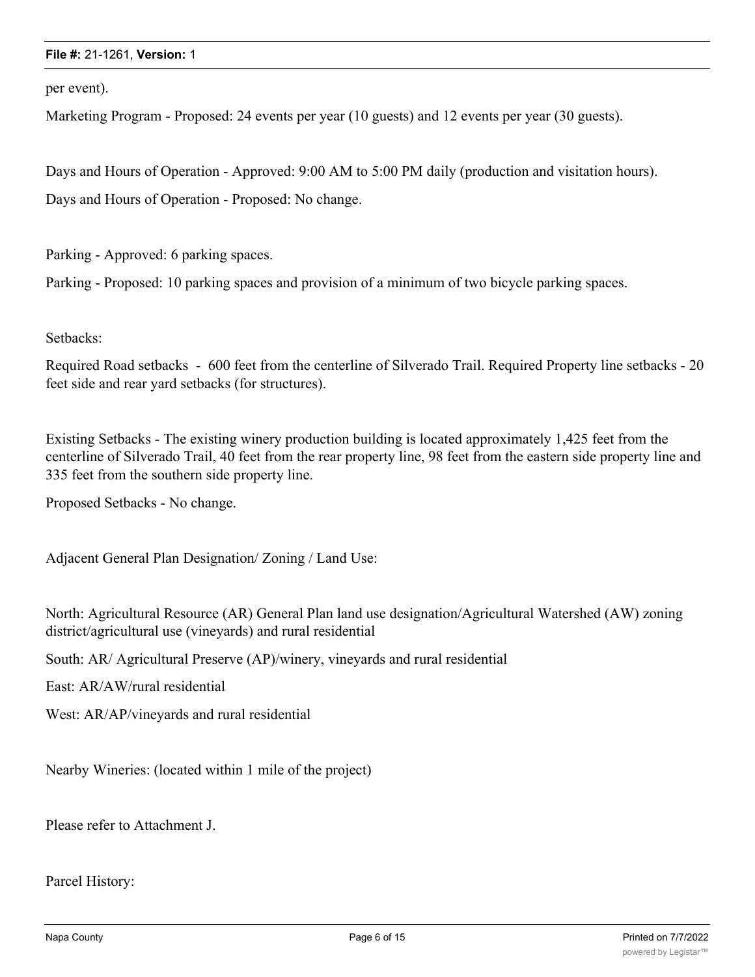per event).

Marketing Program - Proposed: 24 events per year (10 guests) and 12 events per year (30 guests).

Days and Hours of Operation - Approved: 9:00 AM to 5:00 PM daily (production and visitation hours). Days and Hours of Operation - Proposed: No change.

Parking - Approved: 6 parking spaces.

Parking - Proposed: 10 parking spaces and provision of a minimum of two bicycle parking spaces.

Setbacks:

Required Road setbacks - 600 feet from the centerline of Silverado Trail. Required Property line setbacks - 20 feet side and rear yard setbacks (for structures).

Existing Setbacks - The existing winery production building is located approximately 1,425 feet from the centerline of Silverado Trail, 40 feet from the rear property line, 98 feet from the eastern side property line and 335 feet from the southern side property line.

Proposed Setbacks - No change.

Adjacent General Plan Designation/ Zoning / Land Use:

North: Agricultural Resource (AR) General Plan land use designation/Agricultural Watershed (AW) zoning district/agricultural use (vineyards) and rural residential

South: AR/ Agricultural Preserve (AP)/winery, vineyards and rural residential

East: AR/AW/rural residential

West: AR/AP/vineyards and rural residential

Nearby Wineries: (located within 1 mile of the project)

Please refer to Attachment J.

Parcel History: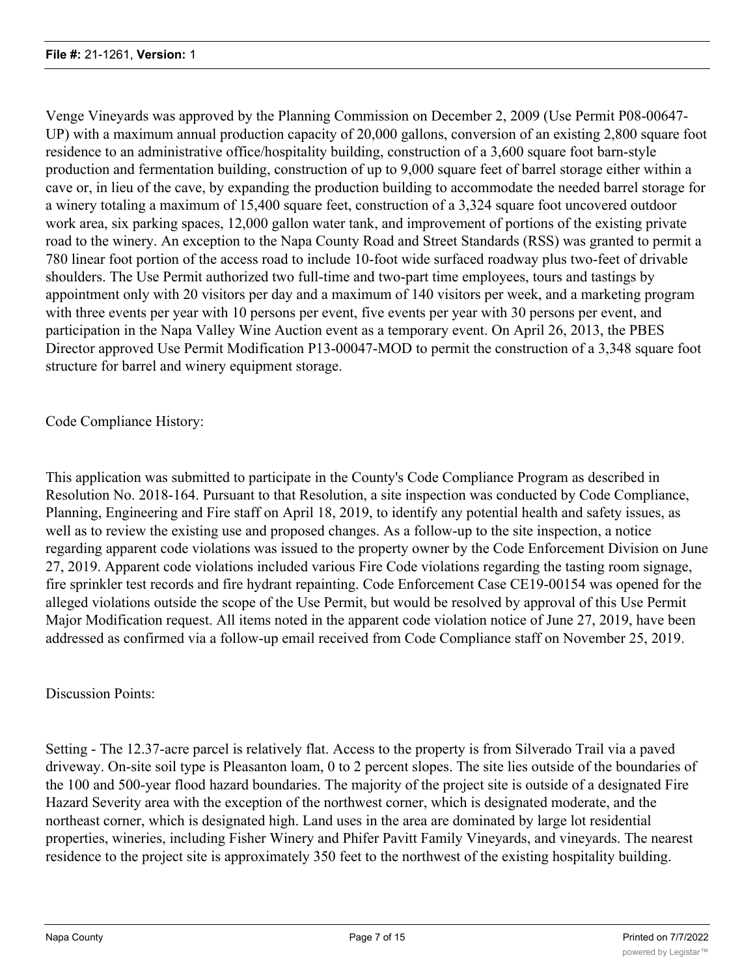Venge Vineyards was approved by the Planning Commission on December 2, 2009 (Use Permit P08-00647- UP) with a maximum annual production capacity of 20,000 gallons, conversion of an existing 2,800 square foot residence to an administrative office/hospitality building, construction of a 3,600 square foot barn-style production and fermentation building, construction of up to 9,000 square feet of barrel storage either within a cave or, in lieu of the cave, by expanding the production building to accommodate the needed barrel storage for a winery totaling a maximum of 15,400 square feet, construction of a 3,324 square foot uncovered outdoor work area, six parking spaces, 12,000 gallon water tank, and improvement of portions of the existing private road to the winery. An exception to the Napa County Road and Street Standards (RSS) was granted to permit a 780 linear foot portion of the access road to include 10-foot wide surfaced roadway plus two-feet of drivable shoulders. The Use Permit authorized two full-time and two-part time employees, tours and tastings by appointment only with 20 visitors per day and a maximum of 140 visitors per week, and a marketing program with three events per year with 10 persons per event, five events per year with 30 persons per event, and participation in the Napa Valley Wine Auction event as a temporary event. On April 26, 2013, the PBES Director approved Use Permit Modification P13-00047-MOD to permit the construction of a 3,348 square foot structure for barrel and winery equipment storage.

Code Compliance History:

This application was submitted to participate in the County's Code Compliance Program as described in Resolution No. 2018-164. Pursuant to that Resolution, a site inspection was conducted by Code Compliance, Planning, Engineering and Fire staff on April 18, 2019, to identify any potential health and safety issues, as well as to review the existing use and proposed changes. As a follow-up to the site inspection, a notice regarding apparent code violations was issued to the property owner by the Code Enforcement Division on June 27, 2019. Apparent code violations included various Fire Code violations regarding the tasting room signage, fire sprinkler test records and fire hydrant repainting. Code Enforcement Case CE19-00154 was opened for the alleged violations outside the scope of the Use Permit, but would be resolved by approval of this Use Permit Major Modification request. All items noted in the apparent code violation notice of June 27, 2019, have been addressed as confirmed via a follow-up email received from Code Compliance staff on November 25, 2019.

### Discussion Points:

Setting - The 12.37-acre parcel is relatively flat. Access to the property is from Silverado Trail via a paved driveway. On-site soil type is Pleasanton loam, 0 to 2 percent slopes. The site lies outside of the boundaries of the 100 and 500-year flood hazard boundaries. The majority of the project site is outside of a designated Fire Hazard Severity area with the exception of the northwest corner, which is designated moderate, and the northeast corner, which is designated high. Land uses in the area are dominated by large lot residential properties, wineries, including Fisher Winery and Phifer Pavitt Family Vineyards, and vineyards. The nearest residence to the project site is approximately 350 feet to the northwest of the existing hospitality building.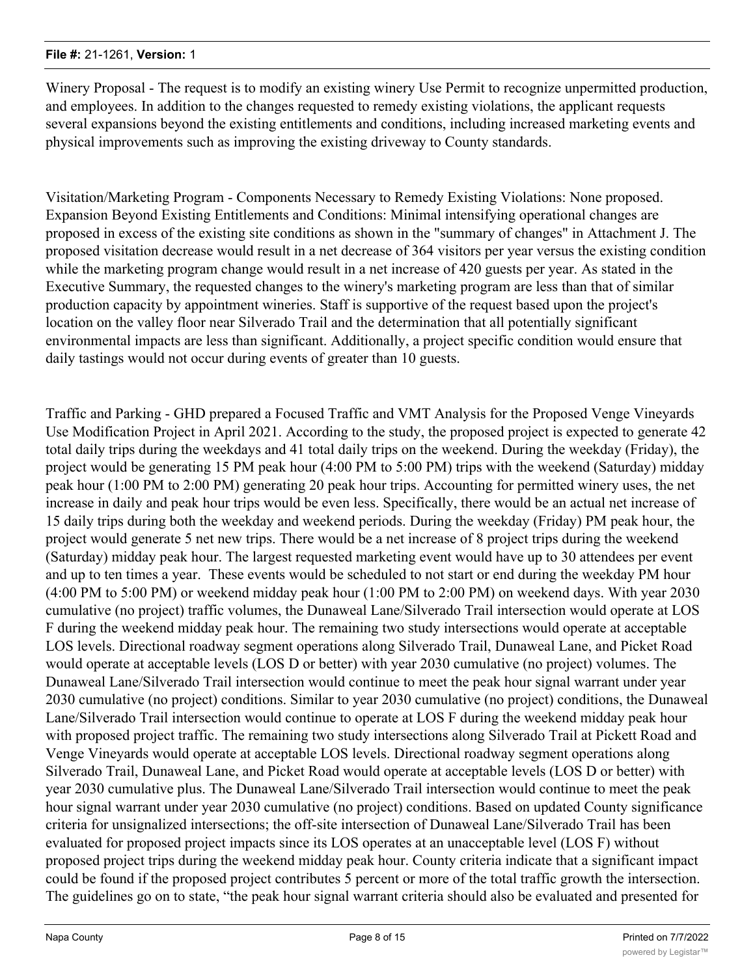Winery Proposal - The request is to modify an existing winery Use Permit to recognize unpermitted production, and employees. In addition to the changes requested to remedy existing violations, the applicant requests several expansions beyond the existing entitlements and conditions, including increased marketing events and physical improvements such as improving the existing driveway to County standards.

Visitation/Marketing Program - Components Necessary to Remedy Existing Violations: None proposed. Expansion Beyond Existing Entitlements and Conditions: Minimal intensifying operational changes are proposed in excess of the existing site conditions as shown in the "summary of changes" in Attachment J. The proposed visitation decrease would result in a net decrease of 364 visitors per year versus the existing condition while the marketing program change would result in a net increase of 420 guests per year. As stated in the Executive Summary, the requested changes to the winery's marketing program are less than that of similar production capacity by appointment wineries. Staff is supportive of the request based upon the project's location on the valley floor near Silverado Trail and the determination that all potentially significant environmental impacts are less than significant. Additionally, a project specific condition would ensure that daily tastings would not occur during events of greater than 10 guests.

Traffic and Parking - GHD prepared a Focused Traffic and VMT Analysis for the Proposed Venge Vineyards Use Modification Project in April 2021. According to the study, the proposed project is expected to generate 42 total daily trips during the weekdays and 41 total daily trips on the weekend. During the weekday (Friday), the project would be generating 15 PM peak hour (4:00 PM to 5:00 PM) trips with the weekend (Saturday) midday peak hour (1:00 PM to 2:00 PM) generating 20 peak hour trips. Accounting for permitted winery uses, the net increase in daily and peak hour trips would be even less. Specifically, there would be an actual net increase of 15 daily trips during both the weekday and weekend periods. During the weekday (Friday) PM peak hour, the project would generate 5 net new trips. There would be a net increase of 8 project trips during the weekend (Saturday) midday peak hour. The largest requested marketing event would have up to 30 attendees per event and up to ten times a year. These events would be scheduled to not start or end during the weekday PM hour (4:00 PM to 5:00 PM) or weekend midday peak hour (1:00 PM to 2:00 PM) on weekend days. With year 2030 cumulative (no project) traffic volumes, the Dunaweal Lane/Silverado Trail intersection would operate at LOS F during the weekend midday peak hour. The remaining two study intersections would operate at acceptable LOS levels. Directional roadway segment operations along Silverado Trail, Dunaweal Lane, and Picket Road would operate at acceptable levels (LOS D or better) with year 2030 cumulative (no project) volumes. The Dunaweal Lane/Silverado Trail intersection would continue to meet the peak hour signal warrant under year 2030 cumulative (no project) conditions. Similar to year 2030 cumulative (no project) conditions, the Dunaweal Lane/Silverado Trail intersection would continue to operate at LOS F during the weekend midday peak hour with proposed project traffic. The remaining two study intersections along Silverado Trail at Pickett Road and Venge Vineyards would operate at acceptable LOS levels. Directional roadway segment operations along Silverado Trail, Dunaweal Lane, and Picket Road would operate at acceptable levels (LOS D or better) with year 2030 cumulative plus. The Dunaweal Lane/Silverado Trail intersection would continue to meet the peak hour signal warrant under year 2030 cumulative (no project) conditions. Based on updated County significance criteria for unsignalized intersections; the off-site intersection of Dunaweal Lane/Silverado Trail has been evaluated for proposed project impacts since its LOS operates at an unacceptable level (LOS F) without proposed project trips during the weekend midday peak hour. County criteria indicate that a significant impact could be found if the proposed project contributes 5 percent or more of the total traffic growth the intersection. The guidelines go on to state, "the peak hour signal warrant criteria should also be evaluated and presented for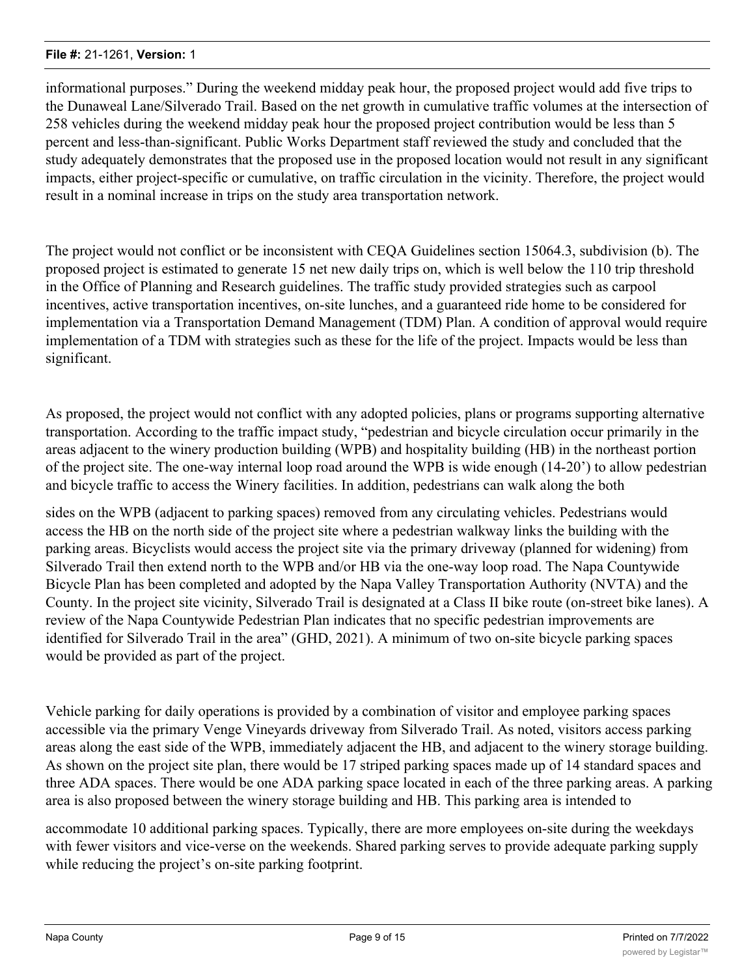informational purposes." During the weekend midday peak hour, the proposed project would add five trips to the Dunaweal Lane/Silverado Trail. Based on the net growth in cumulative traffic volumes at the intersection of 258 vehicles during the weekend midday peak hour the proposed project contribution would be less than 5 percent and less-than-significant. Public Works Department staff reviewed the study and concluded that the study adequately demonstrates that the proposed use in the proposed location would not result in any significant impacts, either project-specific or cumulative, on traffic circulation in the vicinity. Therefore, the project would result in a nominal increase in trips on the study area transportation network.

The project would not conflict or be inconsistent with CEQA Guidelines section 15064.3, subdivision (b). The proposed project is estimated to generate 15 net new daily trips on, which is well below the 110 trip threshold in the Office of Planning and Research guidelines. The traffic study provided strategies such as carpool incentives, active transportation incentives, on-site lunches, and a guaranteed ride home to be considered for implementation via a Transportation Demand Management (TDM) Plan. A condition of approval would require implementation of a TDM with strategies such as these for the life of the project. Impacts would be less than significant.

As proposed, the project would not conflict with any adopted policies, plans or programs supporting alternative transportation. According to the traffic impact study, "pedestrian and bicycle circulation occur primarily in the areas adjacent to the winery production building (WPB) and hospitality building (HB) in the northeast portion of the project site. The one-way internal loop road around the WPB is wide enough (14-20') to allow pedestrian and bicycle traffic to access the Winery facilities. In addition, pedestrians can walk along the both

sides on the WPB (adjacent to parking spaces) removed from any circulating vehicles. Pedestrians would access the HB on the north side of the project site where a pedestrian walkway links the building with the parking areas. Bicyclists would access the project site via the primary driveway (planned for widening) from Silverado Trail then extend north to the WPB and/or HB via the one-way loop road. The Napa Countywide Bicycle Plan has been completed and adopted by the Napa Valley Transportation Authority (NVTA) and the County. In the project site vicinity, Silverado Trail is designated at a Class II bike route (on-street bike lanes). A review of the Napa Countywide Pedestrian Plan indicates that no specific pedestrian improvements are identified for Silverado Trail in the area" (GHD, 2021). A minimum of two on-site bicycle parking spaces would be provided as part of the project.

Vehicle parking for daily operations is provided by a combination of visitor and employee parking spaces accessible via the primary Venge Vineyards driveway from Silverado Trail. As noted, visitors access parking areas along the east side of the WPB, immediately adjacent the HB, and adjacent to the winery storage building. As shown on the project site plan, there would be 17 striped parking spaces made up of 14 standard spaces and three ADA spaces. There would be one ADA parking space located in each of the three parking areas. A parking area is also proposed between the winery storage building and HB. This parking area is intended to

accommodate 10 additional parking spaces. Typically, there are more employees on-site during the weekdays with fewer visitors and vice-verse on the weekends. Shared parking serves to provide adequate parking supply while reducing the project's on-site parking footprint.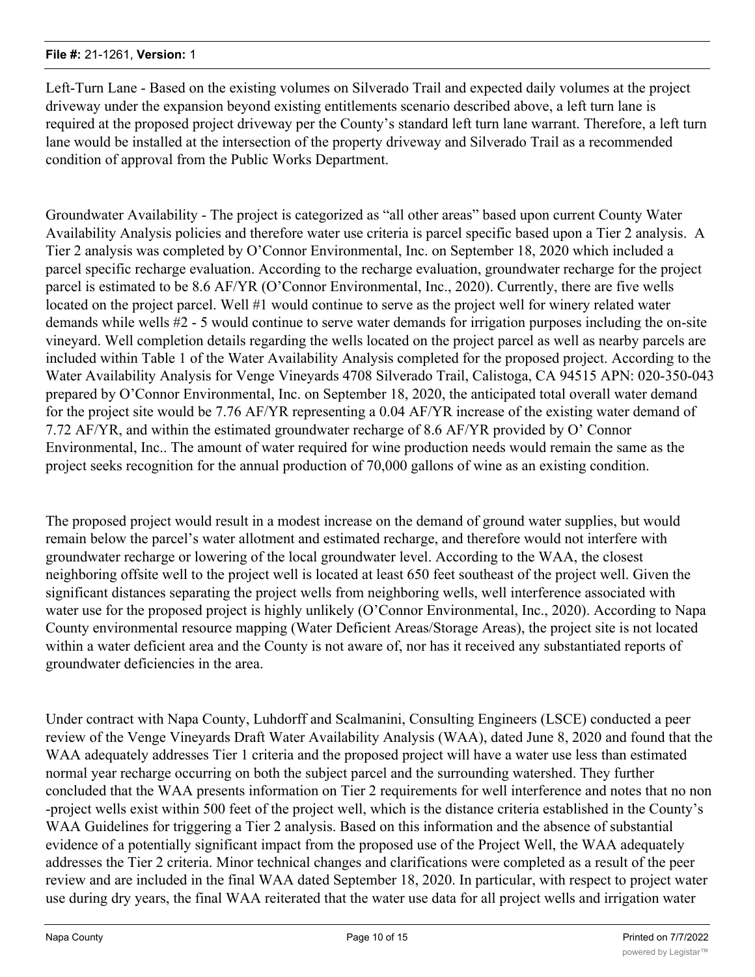Left-Turn Lane - Based on the existing volumes on Silverado Trail and expected daily volumes at the project driveway under the expansion beyond existing entitlements scenario described above, a left turn lane is required at the proposed project driveway per the County's standard left turn lane warrant. Therefore, a left turn lane would be installed at the intersection of the property driveway and Silverado Trail as a recommended condition of approval from the Public Works Department.

Groundwater Availability - The project is categorized as "all other areas" based upon current County Water Availability Analysis policies and therefore water use criteria is parcel specific based upon a Tier 2 analysis. A Tier 2 analysis was completed by O'Connor Environmental, Inc. on September 18, 2020 which included a parcel specific recharge evaluation. According to the recharge evaluation, groundwater recharge for the project parcel is estimated to be 8.6 AF/YR (O'Connor Environmental, Inc., 2020). Currently, there are five wells located on the project parcel. Well #1 would continue to serve as the project well for winery related water demands while wells #2 - 5 would continue to serve water demands for irrigation purposes including the on-site vineyard. Well completion details regarding the wells located on the project parcel as well as nearby parcels are included within Table 1 of the Water Availability Analysis completed for the proposed project. According to the Water Availability Analysis for Venge Vineyards 4708 Silverado Trail, Calistoga, CA 94515 APN: 020-350-043 prepared by O'Connor Environmental, Inc. on September 18, 2020, the anticipated total overall water demand for the project site would be 7.76 AF/YR representing a 0.04 AF/YR increase of the existing water demand of 7.72 AF/YR, and within the estimated groundwater recharge of 8.6 AF/YR provided by O' Connor Environmental, Inc.. The amount of water required for wine production needs would remain the same as the project seeks recognition for the annual production of 70,000 gallons of wine as an existing condition.

The proposed project would result in a modest increase on the demand of ground water supplies, but would remain below the parcel's water allotment and estimated recharge, and therefore would not interfere with groundwater recharge or lowering of the local groundwater level. According to the WAA, the closest neighboring offsite well to the project well is located at least 650 feet southeast of the project well. Given the significant distances separating the project wells from neighboring wells, well interference associated with water use for the proposed project is highly unlikely (O'Connor Environmental, Inc., 2020). According to Napa County environmental resource mapping (Water Deficient Areas/Storage Areas), the project site is not located within a water deficient area and the County is not aware of, nor has it received any substantiated reports of groundwater deficiencies in the area.

Under contract with Napa County, Luhdorff and Scalmanini, Consulting Engineers (LSCE) conducted a peer review of the Venge Vineyards Draft Water Availability Analysis (WAA), dated June 8, 2020 and found that the WAA adequately addresses Tier 1 criteria and the proposed project will have a water use less than estimated normal year recharge occurring on both the subject parcel and the surrounding watershed. They further concluded that the WAA presents information on Tier 2 requirements for well interference and notes that no non -project wells exist within 500 feet of the project well, which is the distance criteria established in the County's WAA Guidelines for triggering a Tier 2 analysis. Based on this information and the absence of substantial evidence of a potentially significant impact from the proposed use of the Project Well, the WAA adequately addresses the Tier 2 criteria. Minor technical changes and clarifications were completed as a result of the peer review and are included in the final WAA dated September 18, 2020. In particular, with respect to project water use during dry years, the final WAA reiterated that the water use data for all project wells and irrigation water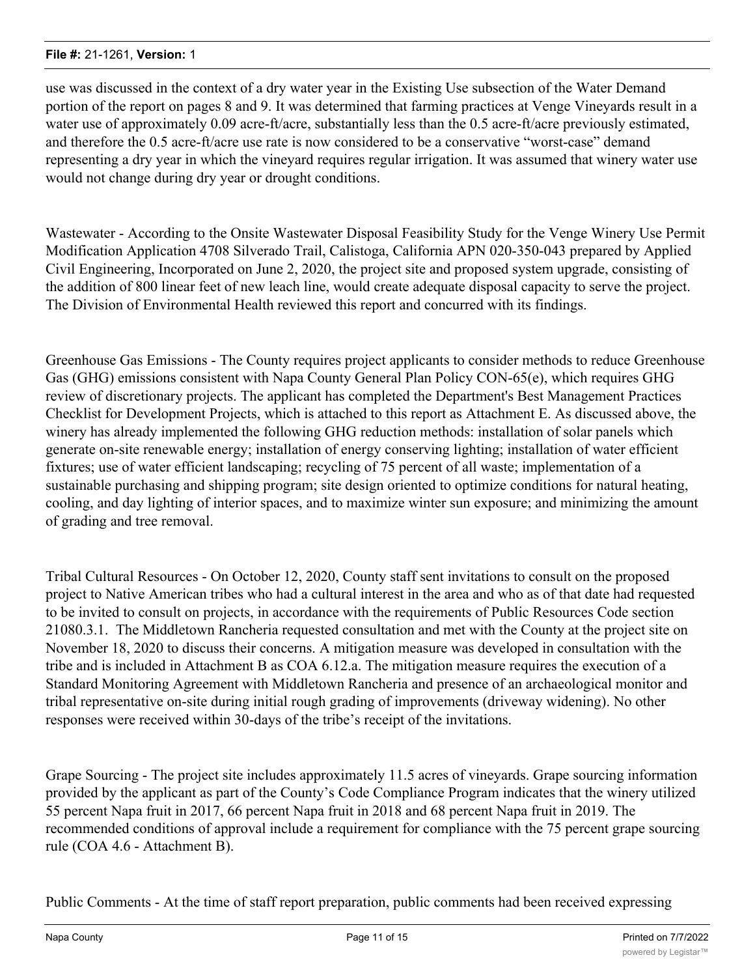use was discussed in the context of a dry water year in the Existing Use subsection of the Water Demand portion of the report on pages 8 and 9. It was determined that farming practices at Venge Vineyards result in a water use of approximately 0.09 acre-ft/acre, substantially less than the 0.5 acre-ft/acre previously estimated, and therefore the 0.5 acre-ft/acre use rate is now considered to be a conservative "worst-case" demand representing a dry year in which the vineyard requires regular irrigation. It was assumed that winery water use would not change during dry year or drought conditions.

Wastewater - According to the Onsite Wastewater Disposal Feasibility Study for the Venge Winery Use Permit Modification Application 4708 Silverado Trail, Calistoga, California APN 020-350-043 prepared by Applied Civil Engineering, Incorporated on June 2, 2020, the project site and proposed system upgrade, consisting of the addition of 800 linear feet of new leach line, would create adequate disposal capacity to serve the project. The Division of Environmental Health reviewed this report and concurred with its findings.

Greenhouse Gas Emissions - The County requires project applicants to consider methods to reduce Greenhouse Gas (GHG) emissions consistent with Napa County General Plan Policy CON-65(e), which requires GHG review of discretionary projects. The applicant has completed the Department's Best Management Practices Checklist for Development Projects, which is attached to this report as Attachment E. As discussed above, the winery has already implemented the following GHG reduction methods: installation of solar panels which generate on-site renewable energy; installation of energy conserving lighting; installation of water efficient fixtures; use of water efficient landscaping; recycling of 75 percent of all waste; implementation of a sustainable purchasing and shipping program; site design oriented to optimize conditions for natural heating, cooling, and day lighting of interior spaces, and to maximize winter sun exposure; and minimizing the amount of grading and tree removal.

Tribal Cultural Resources - On October 12, 2020, County staff sent invitations to consult on the proposed project to Native American tribes who had a cultural interest in the area and who as of that date had requested to be invited to consult on projects, in accordance with the requirements of Public Resources Code section 21080.3.1. The Middletown Rancheria requested consultation and met with the County at the project site on November 18, 2020 to discuss their concerns. A mitigation measure was developed in consultation with the tribe and is included in Attachment B as COA 6.12.a. The mitigation measure requires the execution of a Standard Monitoring Agreement with Middletown Rancheria and presence of an archaeological monitor and tribal representative on-site during initial rough grading of improvements (driveway widening). No other responses were received within 30-days of the tribe's receipt of the invitations.

Grape Sourcing - The project site includes approximately 11.5 acres of vineyards. Grape sourcing information provided by the applicant as part of the County's Code Compliance Program indicates that the winery utilized 55 percent Napa fruit in 2017, 66 percent Napa fruit in 2018 and 68 percent Napa fruit in 2019. The recommended conditions of approval include a requirement for compliance with the 75 percent grape sourcing rule (COA 4.6 - Attachment B).

Public Comments - At the time of staff report preparation, public comments had been received expressing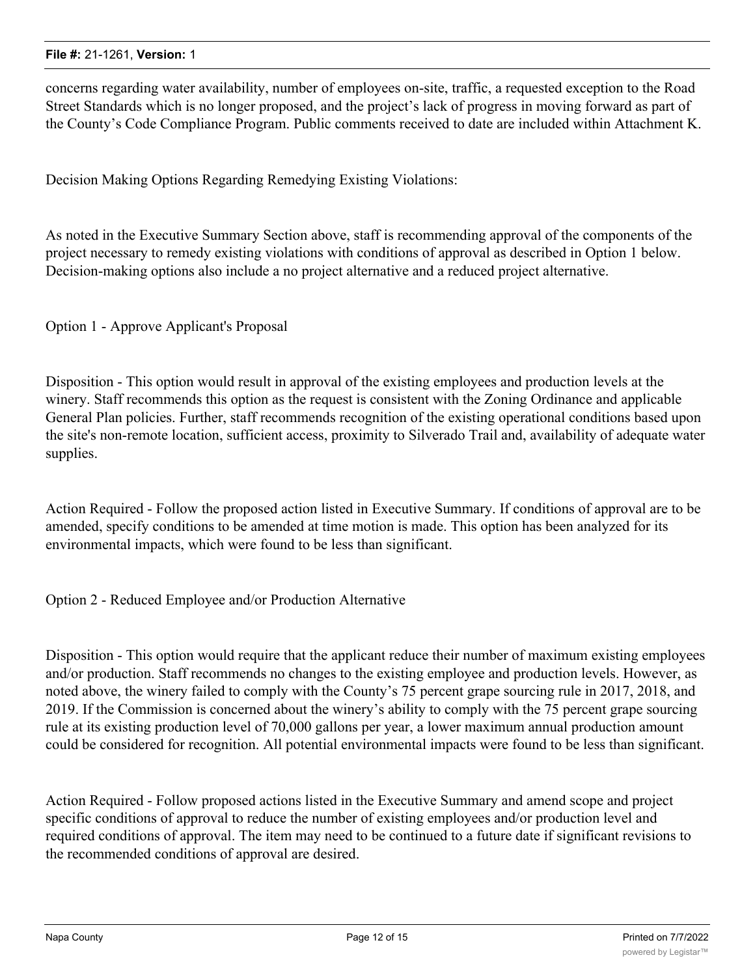concerns regarding water availability, number of employees on-site, traffic, a requested exception to the Road Street Standards which is no longer proposed, and the project's lack of progress in moving forward as part of the County's Code Compliance Program. Public comments received to date are included within Attachment K.

Decision Making Options Regarding Remedying Existing Violations:

As noted in the Executive Summary Section above, staff is recommending approval of the components of the project necessary to remedy existing violations with conditions of approval as described in Option 1 below. Decision-making options also include a no project alternative and a reduced project alternative.

Option 1 - Approve Applicant's Proposal

Disposition - This option would result in approval of the existing employees and production levels at the winery. Staff recommends this option as the request is consistent with the Zoning Ordinance and applicable General Plan policies. Further, staff recommends recognition of the existing operational conditions based upon the site's non-remote location, sufficient access, proximity to Silverado Trail and, availability of adequate water supplies.

Action Required - Follow the proposed action listed in Executive Summary. If conditions of approval are to be amended, specify conditions to be amended at time motion is made. This option has been analyzed for its environmental impacts, which were found to be less than significant.

Option 2 - Reduced Employee and/or Production Alternative

Disposition - This option would require that the applicant reduce their number of maximum existing employees and/or production. Staff recommends no changes to the existing employee and production levels. However, as noted above, the winery failed to comply with the County's 75 percent grape sourcing rule in 2017, 2018, and 2019. If the Commission is concerned about the winery's ability to comply with the 75 percent grape sourcing rule at its existing production level of 70,000 gallons per year, a lower maximum annual production amount could be considered for recognition. All potential environmental impacts were found to be less than significant.

Action Required - Follow proposed actions listed in the Executive Summary and amend scope and project specific conditions of approval to reduce the number of existing employees and/or production level and required conditions of approval. The item may need to be continued to a future date if significant revisions to the recommended conditions of approval are desired.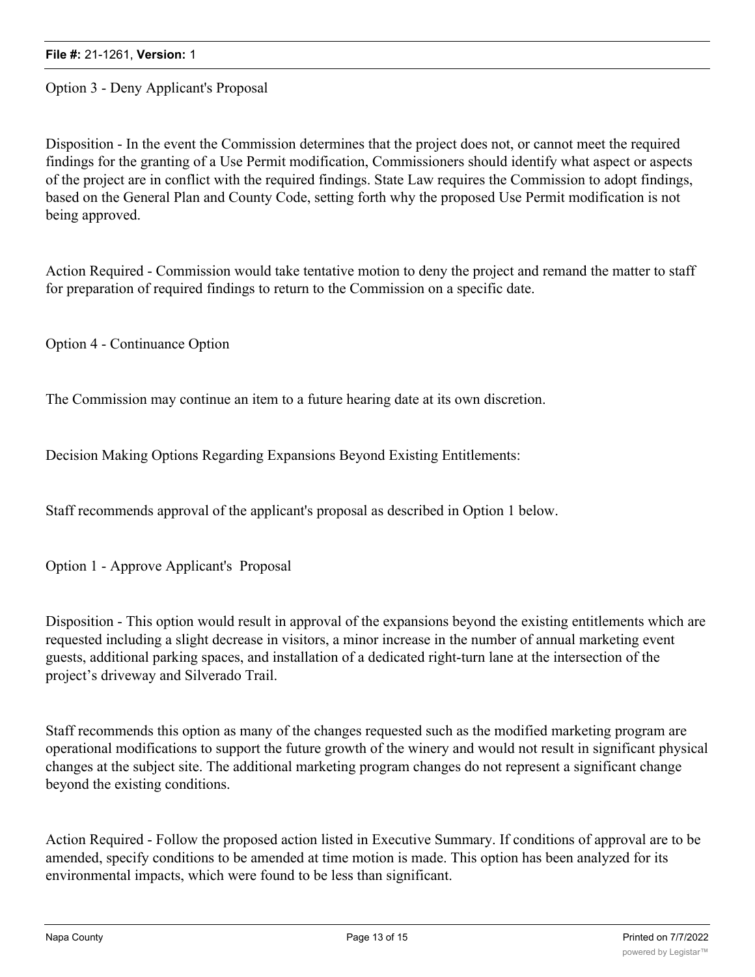Option 3 - Deny Applicant's Proposal

Disposition - In the event the Commission determines that the project does not, or cannot meet the required findings for the granting of a Use Permit modification, Commissioners should identify what aspect or aspects of the project are in conflict with the required findings. State Law requires the Commission to adopt findings, based on the General Plan and County Code, setting forth why the proposed Use Permit modification is not being approved.

Action Required - Commission would take tentative motion to deny the project and remand the matter to staff for preparation of required findings to return to the Commission on a specific date.

Option 4 - Continuance Option

The Commission may continue an item to a future hearing date at its own discretion.

Decision Making Options Regarding Expansions Beyond Existing Entitlements:

Staff recommends approval of the applicant's proposal as described in Option 1 below.

Option 1 - Approve Applicant's Proposal

Disposition - This option would result in approval of the expansions beyond the existing entitlements which are requested including a slight decrease in visitors, a minor increase in the number of annual marketing event guests, additional parking spaces, and installation of a dedicated right-turn lane at the intersection of the project's driveway and Silverado Trail.

Staff recommends this option as many of the changes requested such as the modified marketing program are operational modifications to support the future growth of the winery and would not result in significant physical changes at the subject site. The additional marketing program changes do not represent a significant change beyond the existing conditions.

Action Required - Follow the proposed action listed in Executive Summary. If conditions of approval are to be amended, specify conditions to be amended at time motion is made. This option has been analyzed for its environmental impacts, which were found to be less than significant.